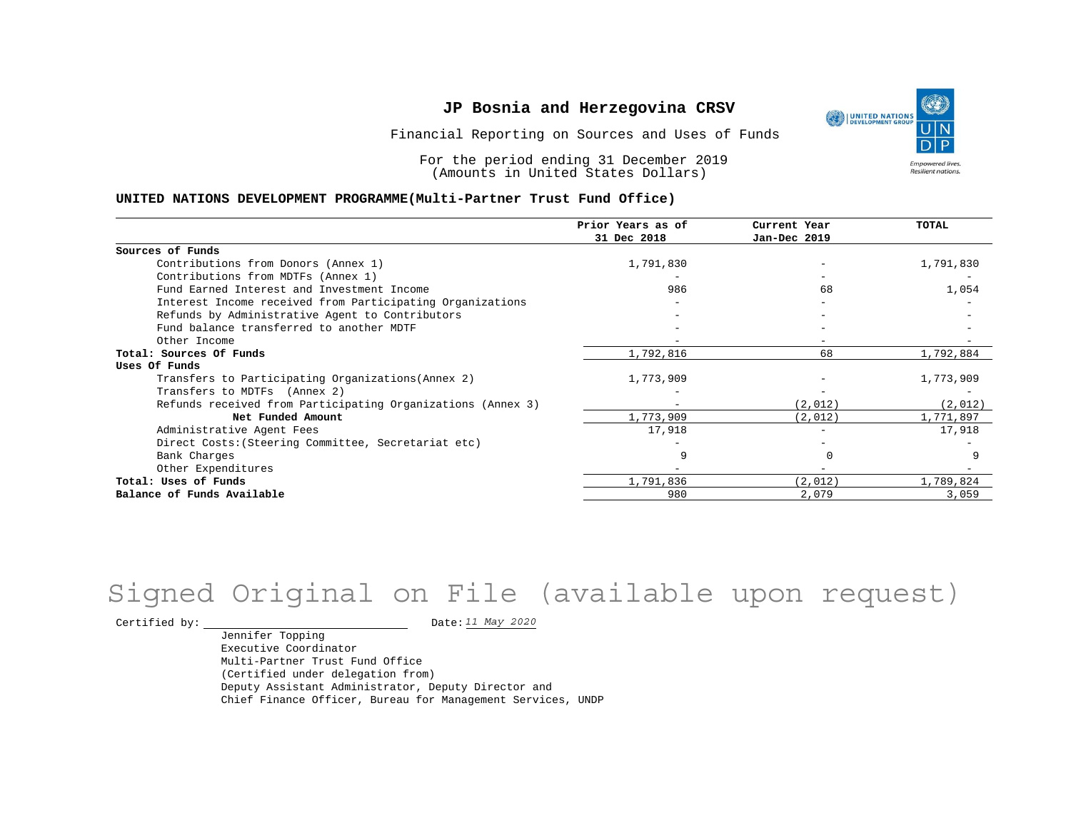

For the period ending 31 December 2019 (Amounts in United States Dollars)

#### **UNITED NATIONS DEVELOPMENT PROGRAMME(Multi-Partner Trust Fund Office)**

|                                                             | Prior Years as of        | Current Year | TOTAL     |
|-------------------------------------------------------------|--------------------------|--------------|-----------|
|                                                             | 31 Dec 2018              | Jan-Dec 2019 |           |
| Sources of Funds                                            |                          |              |           |
| Contributions from Donors (Annex 1)                         | 1,791,830                |              | 1,791,830 |
| Contributions from MDTFs (Annex 1)                          |                          |              |           |
| Fund Earned Interest and Investment Income                  | 986                      | 68           | 1,054     |
| Interest Income received from Participating Organizations   |                          |              |           |
| Refunds by Administrative Agent to Contributors             |                          |              |           |
| Fund balance transferred to another MDTF                    |                          |              |           |
| Other Income                                                |                          |              |           |
| Total: Sources Of Funds                                     | 1,792,816                | 68           | 1,792,884 |
| Uses Of Funds                                               |                          |              |           |
| Transfers to Participating Organizations (Annex 2)          | 1,773,909                |              | 1,773,909 |
| Transfers to MDTFs (Annex 2)                                |                          |              |           |
| Refunds received from Participating Organizations (Annex 3) | $\overline{\phantom{a}}$ | (2,012)      | (2,012)   |
| Net Funded Amount                                           | 1,773,909                | (2,012)      | 1,771,897 |
| Administrative Agent Fees                                   | 17,918                   |              | 17,918    |
| Direct Costs: (Steering Committee, Secretariat etc)         |                          |              |           |
| Bank Charges                                                |                          |              |           |
| Other Expenditures                                          |                          |              |           |
| Total: Uses of Funds                                        | 1,791,836                | (2,012)      | 1,789,824 |
| Balance of Funds Available                                  | 980                      | 2,079        | 3,059     |

# Signed Original on File (available upon request)

Certified by:  $\frac{11 May 2020}{100}$ 

Jennifer Topping Executive Coordinator Multi-Partner Trust Fund Office (Certified under delegation from) Deputy Assistant Administrator, Deputy Director and Chief Finance Officer, Bureau for Management Services, UNDP

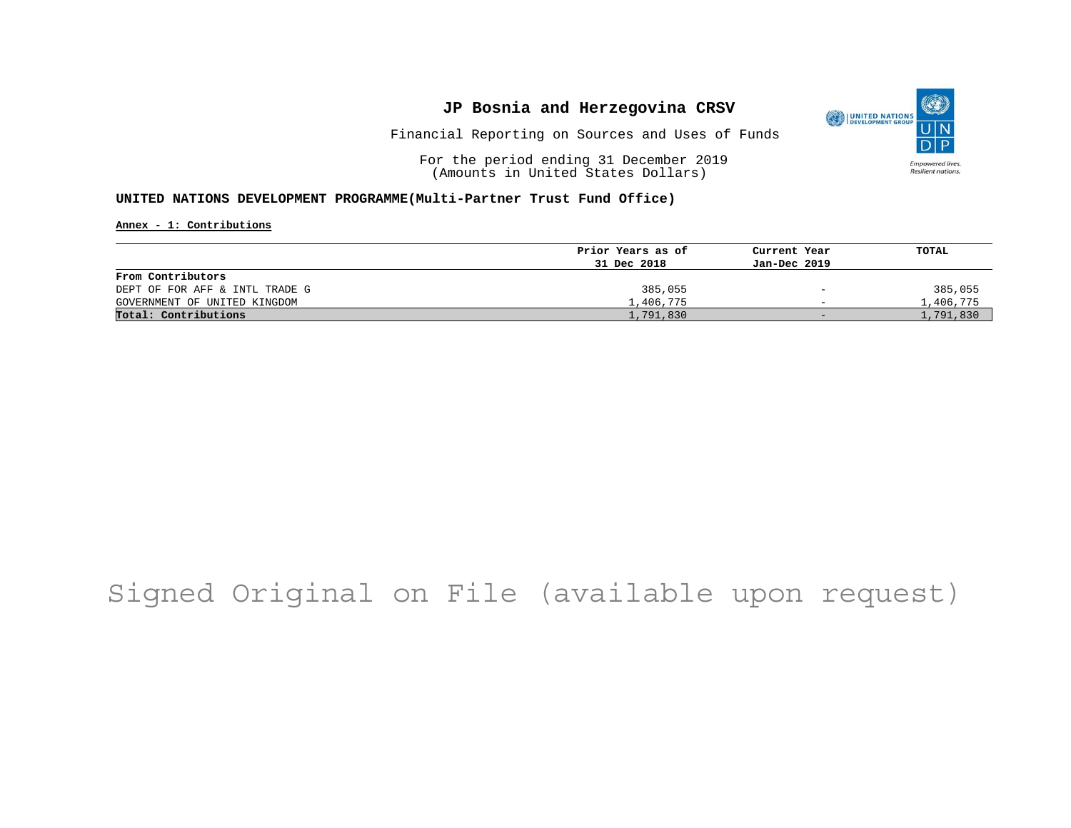

Financial Reporting on Sources and Uses of Funds

For the period ending 31 December 2019 (Amounts in United States Dollars)

#### **UNITED NATIONS DEVELOPMENT PROGRAMME(Multi-Partner Trust Fund Office)**

**Annex - 1: Contributions**

|                                | Prior Years as of | Current Year             | TOTAL     |
|--------------------------------|-------------------|--------------------------|-----------|
|                                | 31 Dec 2018       | Jan-Dec 2019             |           |
| From Contributors              |                   |                          |           |
| DEPT OF FOR AFF & INTL TRADE G | 385,055           | $\overline{\phantom{0}}$ | 385,055   |
| GOVERNMENT OF UNITED KINGDOM   | 1,406,775         | $\overline{\phantom{0}}$ | 1,406,775 |
| Total: Contributions           | 1,791,830         | $-$                      | 1,791,830 |

# Signed Original on File (available upon request)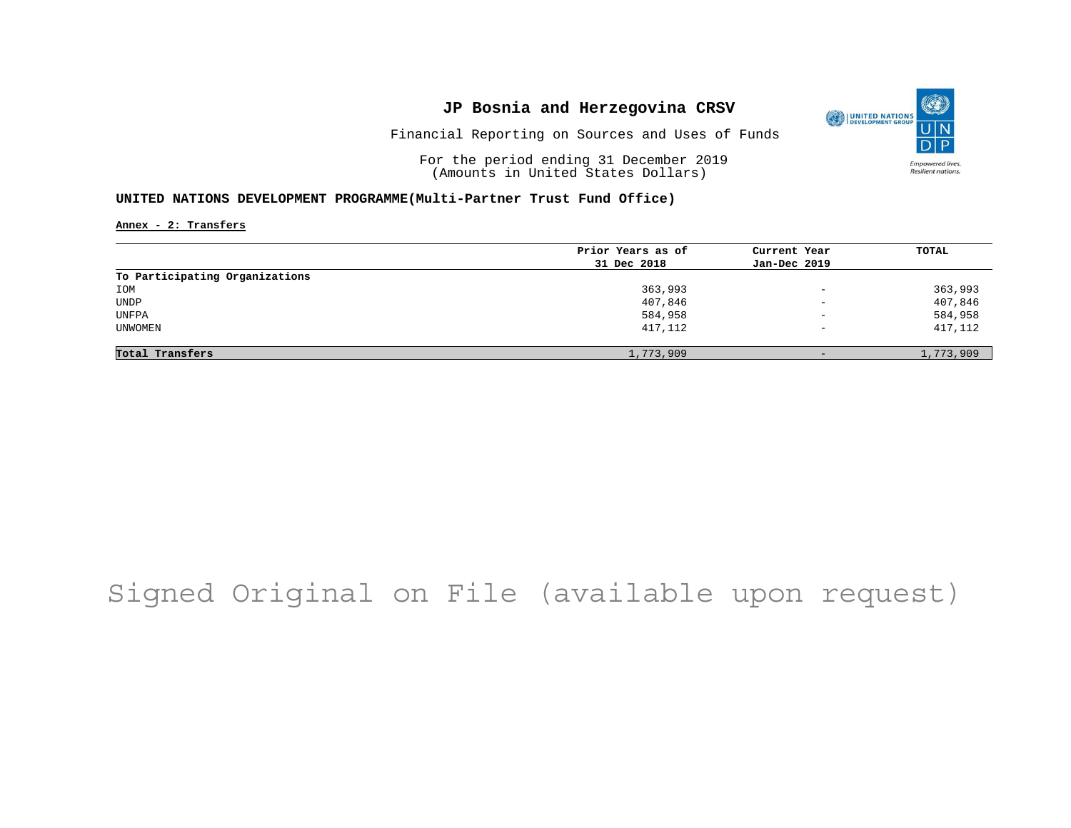

Financial Reporting on Sources and Uses of Funds

For the period ending 31 December 2019 (Amounts in United States Dollars)

#### **UNITED NATIONS DEVELOPMENT PROGRAMME(Multi-Partner Trust Fund Office)**

**Annex - 2: Transfers**

|                                | Prior Years as of | Current Year             | TOTAL     |
|--------------------------------|-------------------|--------------------------|-----------|
|                                | 31 Dec 2018       | Jan-Dec 2019             |           |
| To Participating Organizations |                   |                          |           |
| IOM                            | 363,993           | $\overline{\phantom{a}}$ | 363,993   |
| <b>UNDP</b>                    | 407,846           | $\overline{\phantom{a}}$ | 407,846   |
| UNFPA                          | 584,958           | $\qquad \qquad -$        | 584,958   |
| UNWOMEN                        | 417,112           | $\overline{\phantom{0}}$ | 417,112   |
|                                |                   |                          |           |
| Total Transfers                | 1,773,909         | $-$                      | 1,773,909 |

## Signed Original on File (available upon request)